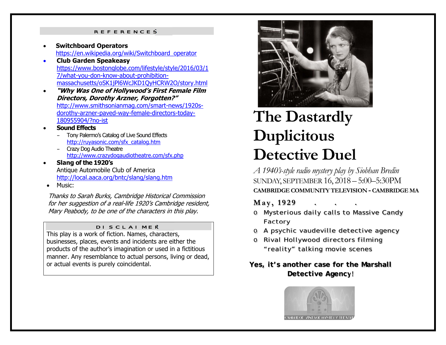#### REFERENCES

- 0 **Switchboard Operators** https://en.wikipedia.org/wiki/Switchboard\_operator
- $\bullet$  **Club Garden Speakeasy**  https://www.bostonglobe.com/lifestyle/style/2016/03/1 7/what-you-don-know-about-prohibitionmassachusetts/oSK1jPl6WcJKD1QyHCRW2O/story.html
- $\bullet$  **"Why Was One of Hollywood's First Female Film Directors, Dorothy Arzner, Forgotten?"** http://www.smithsonianmag.com/smart-news/1920sdorothy-arzner-paved-way-female-directors-today-180955904/?no-ist
- 0 **Sound Effects**
	- Tony Palermo's Catalog of Live Sound Effects http://ruyasonic.com/sfx\_catalog.htm
	- Crazy Dog Audio Theatre http://www.crazydogaudiotheatre.com/sfx.php
- $\bullet$  **Slang of the 1920's**  Antique Automobile Club of America http://local.aaca.org/bntc/slang/slang.htm
- 0 Music:

Thanks to Sarah Burks, Cambridge Historical Commission for her suggestion of a real-life 1920's Cambridge resident, Mary Peabody, to be one of the characters in this play.

#### DISCLAIMER

This play is a work of fiction. Names, characters, businesses, places, events and incidents are either the products of the author's imagination or used in a fictitious manner. Any resemblance to actual persons, living or dead, or actual events is purely coincidental.



# **The Dastardly Duplicitous Detective Duel**

*A 1940's-style radio mystery play by Siobhan Bredin*  SUNDAY, SEPTEMBER 16, 2018 – 5:00–5:30PM**CAMBRIDGE COMMUNITY TELEVISION - CAMBRIDGE MA**

#### **M <sup>a</sup> y , 1 9 2 9 . . .**

- o Mysterious daily calls to Massive Candy Factory
- o A psychic vaudeville detective agency
- o Rival Hollywood directors filming "reality" talking movie scenes

#### **Yes, it's another case for the Marshall Detective Agency!**